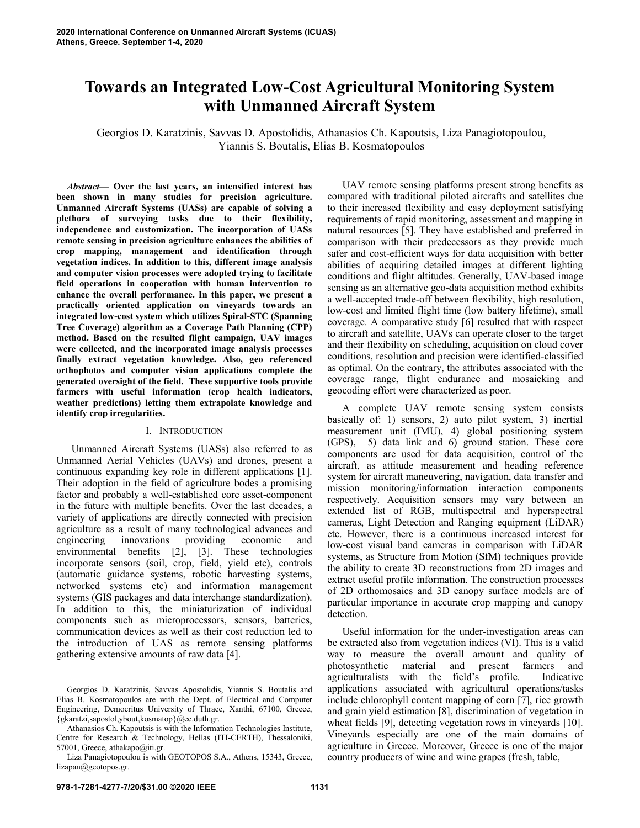# **Towards an Integrated Low-Cost Agricultural Monitoring System with Unmanned Aircraft System**

Georgios D. Karatzinis, Savvas D. Apostolidis, Athanasios Ch. Kapoutsis, Liza Panagiotopoulou, Yiannis S. Boutalis, Elias B. Kosmatopoulos

*Abstract***— Over the last years, an intensified interest has been shown in many studies for precision agriculture. Unmanned Aircraft Systems (UASs) are capable of solving a plethora of surveying tasks due to their flexibility, independence and customization. The incorporation of UASs remote sensing in precision agriculture enhances the abilities of crop mapping, management and identification through vegetation indices. In addition to this, different image analysis and computer vision processes were adopted trying to facilitate field operations in cooperation with human intervention to enhance the overall performance. In this paper, we present a practically oriented application on vineyards towards an integrated low-cost system which utilizes Spiral-STC (Spanning Tree Coverage) algorithm as a Coverage Path Planning (CPP) method. Based on the resulted flight campaign, UAV images were collected, and the incorporated image analysis processes finally extract vegetation knowledge. Also, geo referenced orthophotos and computer vision applications complete the generated oversight of the field. These supportive tools provide farmers with useful information (crop health indicators, weather predictions) letting them extrapolate knowledge and identify crop irregularities.**

#### I. INTRODUCTION

Unmanned Aircraft Systems (UASs) also referred to as Unmanned Aerial Vehicles (UAVs) and drones, present a continuous expanding key role in different applications [1]. Their adoption in the field of agriculture bodes a promising factor and probably a well-established core asset-component in the future with multiple benefits. Over the last decades, a variety of applications are directly connected with precision agriculture as a result of many technological advances and engineering innovations providing economic and environmental benefits [2], [3]. These technologies incorporate sensors (soil, crop, field, yield etc), controls (automatic guidance systems, robotic harvesting systems, networked systems etc) and information management systems (GIS packages and data interchange standardization). In addition to this, the miniaturization of individual components such as microprocessors, sensors, batteries, communication devices as well as their cost reduction led to the introduction of UAS as remote sensing platforms gathering extensive amounts of raw data [4].

Liza Panagiotopoulou is with GEOTOPOS S.A., Athens, 15343, Greece, lizapan@geotopos.gr.

UAV remote sensing platforms present strong benefits as compared with traditional piloted aircrafts and satellites due to their increased flexibility and easy deployment satisfying requirements of rapid monitoring, assessment and mapping in natural resources [5]. They have established and preferred in comparison with their predecessors as they provide much safer and cost-efficient ways for data acquisition with better abilities of acquiring detailed images at different lighting conditions and flight altitudes. Generally, UAV-based image sensing as an alternative geo-data acquisition method exhibits a well-accepted trade-off between flexibility, high resolution, low-cost and limited flight time (low battery lifetime), small coverage. A comparative study [6] resulted that with respect to aircraft and satellite, UAVs can operate closer to the target and their flexibility on scheduling, acquisition on cloud cover conditions, resolution and precision were identified-classified as optimal. On the contrary, the attributes associated with the coverage range, flight endurance and mosaicking and geocoding effort were characterized as poor.

A complete UAV remote sensing system consists basically of: 1) sensors, 2) auto pilot system, 3) inertial measurement unit (IMU), 4) global positioning system (GPS), 5) data link and 6) ground station. These core components are used for data acquisition, control of the aircraft, as attitude measurement and heading reference system for aircraft maneuvering, navigation, data transfer and mission monitoring/information interaction components respectively. Acquisition sensors may vary between an extended list of RGB, multispectral and hyperspectral cameras, Light Detection and Ranging equipment (LiDAR) etc. However, there is a continuous increased interest for low-cost visual band cameras in comparison with LiDAR systems, as Structure from Motion (SfM) techniques provide the ability to create 3D reconstructions from 2D images and extract useful profile information. The construction processes of 2D orthomosaics and 3D canopy surface models are of particular importance in accurate crop mapping and canopy detection.

Useful information for the under-investigation areas can be extracted also from vegetation indices (VI). This is a valid way to measure the overall amount and quality of photosynthetic material and present farmers and agriculturalists with the field's profile. Indicative applications associated with agricultural operations/tasks include chlorophyll content mapping of corn [7], rice growth and grain yield estimation [8], discrimination of vegetation in wheat fields [9], detecting vegetation rows in vineyards [10]. Vineyards especially are one of the main domains of agriculture in Greece. Moreover, Greece is one of the major country producers of wine and wine grapes (fresh, table,

Georgios D. Karatzinis, Savvas Apostolidis, Yiannis S. Boutalis and Elias B. Kosmatopoulos are with the Dept. of Electrical and Computer Engineering, Democritus University of Thrace, Xanthi, 67100, Greece, {gkaratzi,sapostol,ybout,kosmatop}@ee.duth.gr.

Athanasios Ch. Kapoutsis is with the Information Technologies Institute, Centre for Research & Technology, Hellas (ITI-CERTH), Thessaloniki, 57001, Greece, athakapo@iti.gr.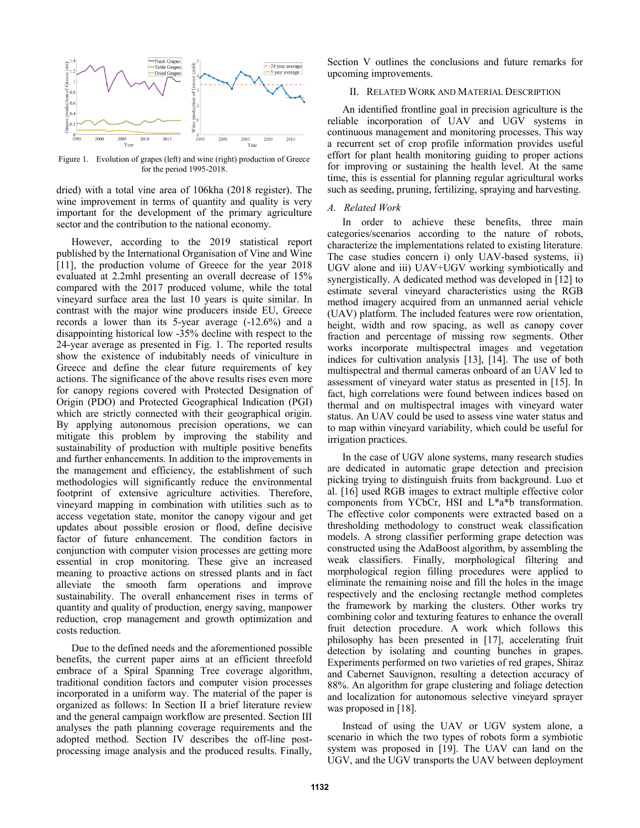

Figure 1. Evolution of grapes (left) and wine (right) production of Greece for the period 1995-2018.

dried) with a total vine area of 106kha (2018 register). The wine improvement in terms of quantity and quality is very important for the development of the primary agriculture sector and the contribution to the national economy.

However, according to the 2019 statistical report published by the International Organisation of Vine and Wine [11], the production volume of Greece for the year 2018 evaluated at 2.2mhl presenting an overall decrease of 15% compared with the 2017 produced volume, while the total vineyard surface area the last 10 years is quite similar. In contrast with the major wine producers inside EU, Greece records a lower than its 5-year average (-12.6%) and a disappointing historical low -35% decline with respect to the 24-year average as presented in Fig. 1. The reported results show the existence of indubitably needs of viniculture in Greece and define the clear future requirements of key actions. The significance of the above results rises even more for canopy regions covered with Protected Designation of Origin (PDO) and Protected Geographical Indication (PGI) which are strictly connected with their geographical origin. By applying autonomous precision operations, we can mitigate this problem by improving the stability and sustainability of production with multiple positive benefits and further enhancements. In addition to the improvements in the management and efficiency, the establishment of such methodologies will significantly reduce the environmental footprint of extensive agriculture activities. Therefore, vineyard mapping in combination with utilities such as to access vegetation state, monitor the canopy vigour and get updates about possible erosion or flood, define decisive factor of future enhancement. The condition factors in conjunction with computer vision processes are getting more essential in crop monitoring. These give an increased meaning to proactive actions on stressed plants and in fact alleviate the smooth farm operations and improve sustainability. The overall enhancement rises in terms of quantity and quality of production, energy saving, manpower reduction, crop management and growth optimization and costs reduction.

Due to the defined needs and the aforementioned possible benefits, the current paper aims at an efficient threefold embrace of a Spiral Spanning Tree coverage algorithm, traditional condition factors and computer vision processes incorporated in a uniform way. The material of the paper is organized as follows: In Section II a brief literature review and the general campaign workflow are presented. Section III analyses the path planning coverage requirements and the adopted method. Section IV describes the off-line postprocessing image analysis and the produced results. Finally,

Section V outlines the conclusions and future remarks for upcoming improvements.

## II. RELATED WORK AND MATERIAL DESCRIPTION

An identified frontline goal in precision agriculture is the reliable incorporation of UAV and UGV systems in continuous management and monitoring processes. This way a recurrent set of crop profile information provides useful effort for plant health monitoring guiding to proper actions for improving or sustaining the health level. At the same time, this is essential for planning regular agricultural works such as seeding, pruning, fertilizing, spraying and harvesting.

## *A. Related Work*

In order to achieve these benefits, three main categories/scenarios according to the nature of robots, characterize the implementations related to existing literature. The case studies concern i) only UAV-based systems, ii) UGV alone and iii) UAV+UGV working symbiotically and synergistically. A dedicated method was developed in [12] to estimate several vineyard characteristics using the RGB method imagery acquired from an unmanned aerial vehicle (UAV) platform. The included features were row orientation, height, width and row spacing, as well as canopy cover fraction and percentage of missing row segments. Other works incorporate multispectral images and vegetation indices for cultivation analysis [13], [14]. The use of both multispectral and thermal cameras onboard of an UAV led to assessment of vineyard water status as presented in [15]. In fact, high correlations were found between indices based on thermal and on multispectral images with vineyard water status. An UAV could be used to assess vine water status and to map within vineyard variability, which could be useful for irrigation practices.

In the case of UGV alone systems, many research studies are dedicated in automatic grape detection and precision picking trying to distinguish fruits from background. Luo et al. [16] used RGB images to extract multiple effective color components from YCbCr, HSI and L\*a\*b transformation. The effective color components were extracted based on a thresholding methodology to construct weak classification models. A strong classifier performing grape detection was constructed using the AdaBoost algorithm, by assembling the weak classifiers. Finally, morphological filtering and morphological region filling procedures were applied to eliminate the remaining noise and fill the holes in the image respectively and the enclosing rectangle method completes the framework by marking the clusters. Other works try combining color and texturing features to enhance the overall fruit detection procedure. A work which follows this philosophy has been presented in [17], accelerating fruit detection by isolating and counting bunches in grapes. Experiments performed on two varieties of red grapes, Shiraz and Cabernet Sauvignon, resulting a detection accuracy of 88%. An algorithm for grape clustering and foliage detection and localization for autonomous selective vineyard sprayer was proposed in [18].

Instead of using the UAV or UGV system alone, a scenario in which the two types of robots form a symbiotic system was proposed in [19]. The UAV can land on the UGV, and the UGV transports the UAV between deployment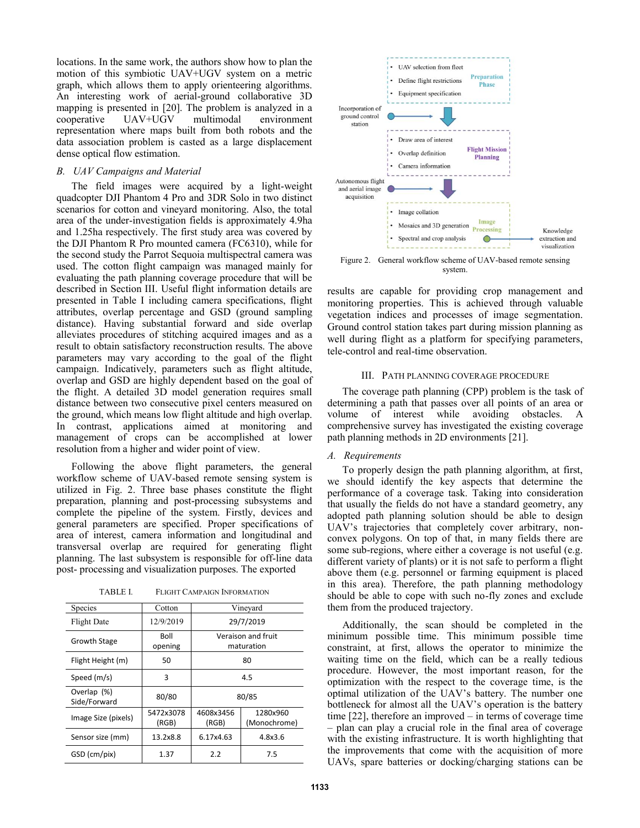locations. In the same work, the authors show how to plan the motion of this symbiotic UAV+UGV system on a metric graph, which allows them to apply orienteering algorithms. An interesting work of aerial-ground collaborative 3D mapping is presented in [20]. The problem is analyzed in a cooperative UAV+UGV multimodal environment representation where maps built from both robots and the data association problem is casted as a large displacement dense optical flow estimation.

## *B. UAV Campaigns and Material*

The field images were acquired by a light-weight quadcopter DJI Phantom 4 Pro and 3DR Solo in two distinct scenarios for cotton and vineyard monitoring. Also, the total area of the under-investigation fields is approximately 4.9ha and 1.25ha respectively. The first study area was covered by the DJI Phantom R Pro mounted camera (FC6310), while for the second study the Parrot Sequoia multispectral camera was used. The cotton flight campaign was managed mainly for evaluating the path planning coverage procedure that will be described in Section III. Useful flight information details are presented in Table I including camera specifications, flight attributes, overlap percentage and GSD (ground sampling distance). Having substantial forward and side overlap alleviates procedures of stitching acquired images and as a result to obtain satisfactory reconstruction results. The above parameters may vary according to the goal of the flight campaign. Indicatively, parameters such as flight altitude, overlap and GSD are highly dependent based on the goal of the flight. A detailed 3D model generation requires small distance between two consecutive pixel centers measured on the ground, which means low flight altitude and high overlap. In contrast, applications aimed at monitoring and management of crops can be accomplished at lower resolution from a higher and wider point of view.

Following the above flight parameters, the general workflow scheme of UAV-based remote sensing system is utilized in Fig. 2. Three base phases constitute the flight preparation, planning and post-processing subsystems and complete the pipeline of the system. Firstly, devices and general parameters are specified. Proper specifications of area of interest, camera information and longitudinal and transversal overlap are required for generating flight planning. The last subsystem is responsible for off-line data post- processing and visualization purposes. The exported

TABLE I. FLIGHT CAMPAIGN INFORMATION

| <b>Species</b>              | Cotton             | Vinevard                         |                          |
|-----------------------------|--------------------|----------------------------------|--------------------------|
| <b>Flight Date</b>          | 12/9/2019          | 29/7/2019                        |                          |
| Growth Stage                | Boll<br>opening    | Veraison and fruit<br>maturation |                          |
| Flight Height (m)           | 50                 | 80                               |                          |
| Speed (m/s)                 | 3                  | 4.5                              |                          |
| Overlap (%)<br>Side/Forward | 80/80              | 80/85                            |                          |
| Image Size (pixels)         | 5472x3078<br>(RGB) | 4608x3456<br>(RGB)               | 1280x960<br>(Monochrome) |
| Sensor size (mm)            | 13.2x8.8           | 6.17x4.63                        | 4.8x3.6                  |
| GSD (cm/pix)                | 1.37               | 2.2                              | 7.5                      |



Figure 2. General workflow scheme of UAV-based remote sensing system.

results are capable for providing crop management and monitoring properties. This is achieved through valuable vegetation indices and processes of image segmentation. Ground control station takes part during mission planning as well during flight as a platform for specifying parameters, tele-control and real-time observation.

#### III. PATH PLANNING COVERAGE PROCEDURE

The coverage path planning (CPP) problem is the task of determining a path that passes over all points of an area or volume of interest while avoiding obstacles. A comprehensive survey has investigated the existing coverage path planning methods in 2D environments [21].

#### *A. Requirements*

To properly design the path planning algorithm, at first, we should identify the key aspects that determine the performance of a coverage task. Taking into consideration that usually the fields do not have a standard geometry, any adopted path planning solution should be able to design UAV's trajectories that completely cover arbitrary, nonconvex polygons. On top of that, in many fields there are some sub-regions, where either a coverage is not useful (e.g. different variety of plants) or it is not safe to perform a flight above them (e.g. personnel or farming equipment is placed in this area). Therefore, the path planning methodology should be able to cope with such no-fly zones and exclude them from the produced trajectory.

Additionally, the scan should be completed in the minimum possible time. This minimum possible time constraint, at first, allows the operator to minimize the waiting time on the field, which can be a really tedious procedure. However, the most important reason, for the optimization with the respect to the coverage time, is the optimal utilization of the UAV's battery. The number one bottleneck for almost all the UAV's operation is the battery time [22], therefore an improved – in terms of coverage time – plan can play a crucial role in the final area of coverage with the existing infrastructure. It is worth highlighting that the improvements that come with the acquisition of more UAVs, spare batteries or docking/charging stations can be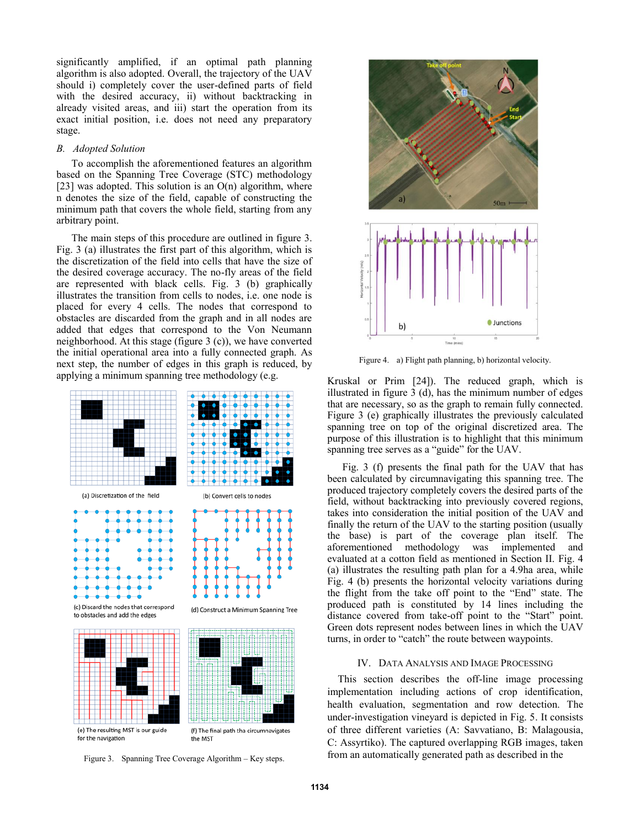significantly amplified, if an optimal path planning algorithm is also adopted. Overall, the trajectory of the UAV should i) completely cover the user-defined parts of field with the desired accuracy, ii) without backtracking in already visited areas, and iii) start the operation from its exact initial position, i.e. does not need any preparatory stage.

### *B. Adopted Solution*

To accomplish the aforementioned features an algorithm based on the Spanning Tree Coverage (STC) methodology [23] was adopted. This solution is an  $O(n)$  algorithm, where n denotes the size of the field, capable of constructing the minimum path that covers the whole field, starting from any arbitrary point.

The main steps of this procedure are outlined in figure 3. Fig. 3 (a) illustrates the first part of this algorithm, which is the discretization of the field into cells that have the size of the desired coverage accuracy. The no-fly areas of the field are represented with black cells. Fig. 3 (b) graphically illustrates the transition from cells to nodes, i.e. one node is placed for every 4 cells. The nodes that correspond to obstacles are discarded from the graph and in all nodes are added that edges that correspond to the Von Neumann neighborhood. At this stage (figure 3 (c)), we have converted the initial operational area into a fully connected graph. As next step, the number of edges in this graph is reduced, by applying a minimum spanning tree methodology (e.g.



Figure 3. Spanning Tree Coverage Algorithm – Key steps.



Figure 4. a) Flight path planning, b) horizontal velocity.

Kruskal or Prim [24]). The reduced graph, which is illustrated in figure 3 (d), has the minimum number of edges that are necessary, so as the graph to remain fully connected. Figure 3 (e) graphically illustrates the previously calculated spanning tree on top of the original discretized area. The purpose of this illustration is to highlight that this minimum spanning tree serves as a "guide" for the UAV.

Fig. 3 (f) presents the final path for the UAV that has been calculated by circumnavigating this spanning tree. The produced trajectory completely covers the desired parts of the field, without backtracking into previously covered regions, takes into consideration the initial position of the UAV and finally the return of the UAV to the starting position (usually the base) is part of the coverage plan itself. The aforementioned methodology was implemented and evaluated at a cotton field as mentioned in Section II. Fig. 4 (a) illustrates the resulting path plan for a 4.9ha area, while Fig. 4 (b) presents the horizontal velocity variations during the flight from the take off point to the "End" state. The produced path is constituted by 14 lines including the distance covered from take-off point to the "Start" point. Green dots represent nodes between lines in which the UAV turns, in order to "catch" the route between waypoints.

#### IV. DATA ANALYSIS AND IMAGE PROCESSING

This section describes the off-line image processing implementation including actions of crop identification, health evaluation, segmentation and row detection. The under-investigation vineyard is depicted in Fig. 5. It consists of three different varieties (Α: Savvatiano, B: Malagousia, C: Assyrtiko). The captured overlapping RGB images, taken from an automatically generated path as described in the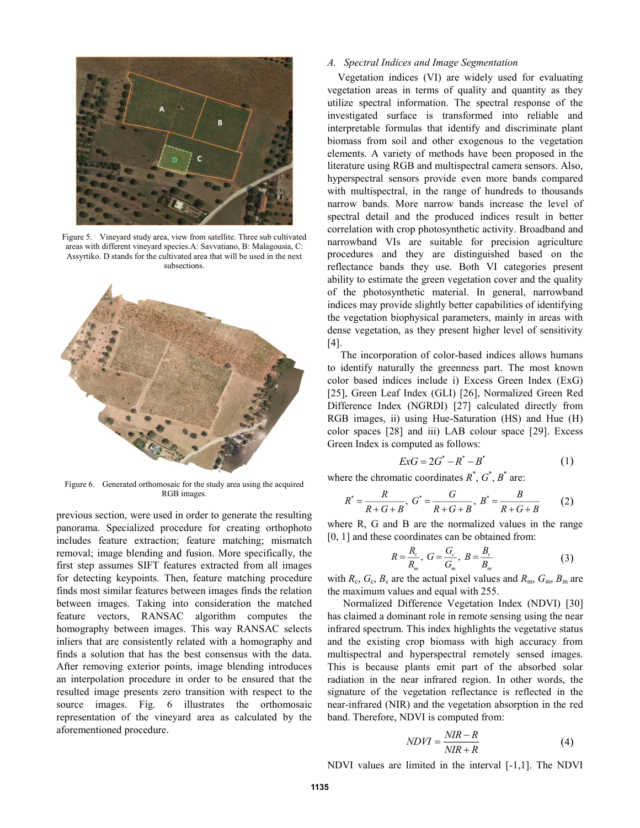

Figure 5. Vineyard study area, view from satellite. Three sub cultivated areas with different vineyard species.A: Savvatiano, B: Malagousia, C: Assyrtiko. D stands for the cultivated area that will be used in the next subsections.



Figure 6. Generated orthomosaic for the study area using the acquired RGB images.

previous section, were used in order to generate the resulting panorama. Specialized procedure for creating orthophoto includes feature extraction; feature matching; mismatch removal; image blending and fusion. More specifically, the first step assumes SIFT features extracted from all images for detecting keypoints. Then, feature matching procedure finds most similar features between images finds the relation between images. Taking into consideration the matched feature vectors, RANSAC algorithm computes the homography between images. This way RANSAC selects inliers that are consistently related with a homography and finds a solution that has the best consensus with the data. After removing exterior points, image blending introduces an interpolation procedure in order to be ensured that the resulted image presents zero transition with respect to the source images. Fig. 6 illustrates the orthomosaic representation of the vineyard area as calculated by the aforementioned procedure.

## *A. Spectral Indices and Image Segmentation*

Vegetation indices (VI) are widely used for evaluating vegetation areas in terms of quality and quantity as they utilize spectral information. The spectral response of the investigated surface is transformed into reliable and interpretable formulas that identify and discriminate plant biomass from soil and other exogenous to the vegetation elements. A variety of methods have been proposed in the literature using RGB and multispectral camera sensors. Also, hyperspectral sensors provide even more bands compared with multispectral, in the range of hundreds to thousands narrow bands. More narrow bands increase the level of spectral detail and the produced indices result in better correlation with crop photosynthetic activity. Broadband and narrowband VIs are suitable for precision agriculture procedures and they are distinguished based on the reflectance bands they use. Both VI categories present ability to estimate the green vegetation cover and the quality of the photosynthetic material. In general, narrowband indices may provide slightly better capabilities of identifying the vegetation biophysical parameters, mainly in areas with dense vegetation, as they present higher level of sensitivity [4].

The incorporation of color-based indices allows humans to identify naturally the greenness part. The most known color based indices include i) Excess Green Index (ExG) [25], Green Leaf Index (GLI) [26], Normalized Green Red Difference Index (NGRDI) [27] calculated directly from RGB images, ii) using Hue-Saturation (HS) and Hue (H) color spaces [28] and iii) LAB colour space [29]. Excess Green Index is computed as follows:

$$
ExG = 2G^* - R^* - B^* \tag{1}
$$

where the chromatic coordinates  $R^*$ ,  $G^*$ ,  $B^*$  are:

$$
R^* = \frac{R}{R + G + B}, \ G^* = \frac{G}{R + G + B}, \ B^* = \frac{B}{R + G + B} \tag{2}
$$

where R, G and B are the normalized values in the range [0, 1] and these coordinates can be obtained from:

$$
R = \frac{R_c}{R_m}, \ G = \frac{G_c}{G_m}, \ B = \frac{B_c}{B_m}
$$
 (3)

with  $R_c$ ,  $G_c$ ,  $B_c$  are the actual pixel values and  $R_m$ ,  $G_m$ ,  $B_m$  are the maximum values and equal with 255.

Normalized Difference Vegetation Index (NDVI) [30] has claimed a dominant role in remote sensing using the near infrared spectrum. This index highlights the vegetative status and the existing crop biomass with high accuracy from multispectral and hyperspectral remotely sensed images. This is because plants emit part of the absorbed solar radiation in the near infrared region. In other words, the signature of the vegetation reflectance is reflected in the near-infrared (NIR) and the vegetation absorption in the red band. Therefore, NDVI is computed from:

$$
NDVI = \frac{NIR - R}{NIR + R} \tag{4}
$$

NDVI values are limited in the interval [-1,1]. The NDVI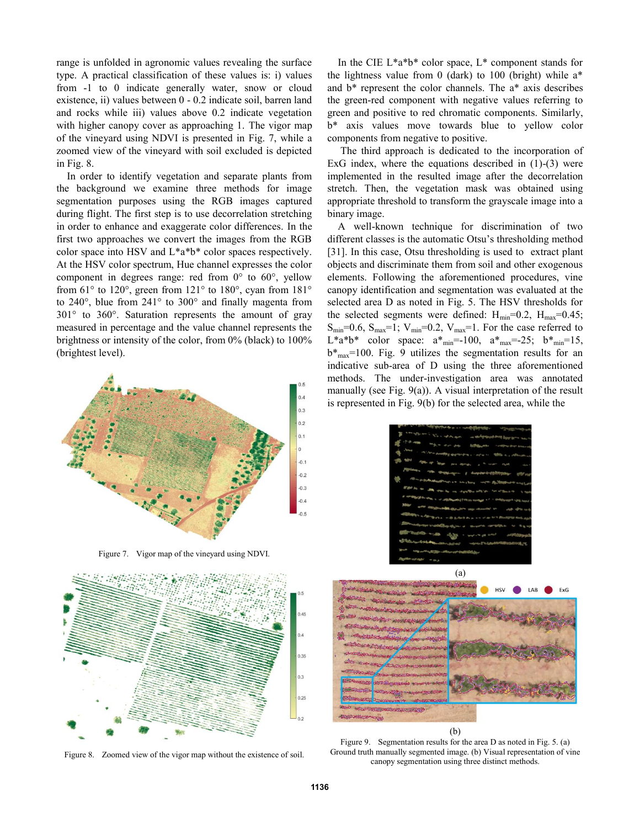range is unfolded in agronomic values revealing the surface type. A practical classification of these values is: i) values from -1 to 0 indicate generally water, snow or cloud existence, ii) values between 0 - 0.2 indicate soil, barren land and rocks while iii) values above 0.2 indicate vegetation with higher canopy cover as approaching 1. The vigor map of the vineyard using NDVI is presented in Fig. 7, while a zoomed view of the vineyard with soil excluded is depicted in Fig. 8.

In order to identify vegetation and separate plants from the background we examine three methods for image segmentation purposes using the RGB images captured during flight. The first step is to use decorrelation stretching in order to enhance and exaggerate color differences. In the first two approaches we convert the images from the RGB color space into HSV and L\*a\*b\* color spaces respectively. At the HSV color spectrum, Hue channel expresses the color component in degrees range: red from  $0^{\circ}$  to  $60^{\circ}$ , yellow from 61° to 120°, green from 121° to 180°, cyan from 181° to 240°, blue from 241° to 300° and finally magenta from 301° to 360°. Saturation represents the amount of gray measured in percentage and the value channel represents the brightness or intensity of the color, from 0% (black) to 100% (brightest level).



Figure 7. Vigor map of the vineyard using NDVI.



Figure 8. Zoomed view of the vigor map without the existence of soil.

In the CIE  $L^*a^*b^*$  color space,  $L^*$  component stands for the lightness value from 0 (dark) to 100 (bright) while a\* and b\* represent the color channels. The a\* axis describes the green-red component with negative values referring to green and positive to red chromatic components. Similarly, b\* axis values move towards blue to yellow color components from negative to positive.

The third approach is dedicated to the incorporation of ExG index, where the equations described in  $(1)-(3)$  were implemented in the resulted image after the decorrelation stretch. Then, the vegetation mask was obtained using appropriate threshold to transform the grayscale image into a binary image.

A well-known technique for discrimination of two different classes is the automatic Otsu's thresholding method [31]. In this case, Otsu thresholding is used to extract plant objects and discriminate them from soil and other exogenous elements. Following the aforementioned procedures, vine canopy identification and segmentation was evaluated at the selected area D as noted in Fig. 5. The HSV thresholds for the selected segments were defined:  $H_{min}=0.2$ ,  $H_{max}=0.45$ ;  $S_{\text{min}}=0.6$ ,  $S_{\text{max}}=1$ ;  $V_{\text{min}}=0.2$ ,  $V_{\text{max}}=1$ . For the case referred to L\*a\*b\* color space:  $a*_{min}=-100$ ,  $a*_{max}=-25$ ;  $b*_{min}=15$ ,  $b*_{max}=100$ . Fig. 9 utilizes the segmentation results for an indicative sub-area of D using the three aforementioned methods. The under-investigation area was annotated manually (see Fig. 9(a)). A visual interpretation of the result is represented in Fig. 9(b) for the selected area, while the







Figure 9. Segmentation results for the area D as noted in Fig. 5. (a) Ground truth manually segmented image. (b) Visual representation of vine canopy segmentation using three distinct methods.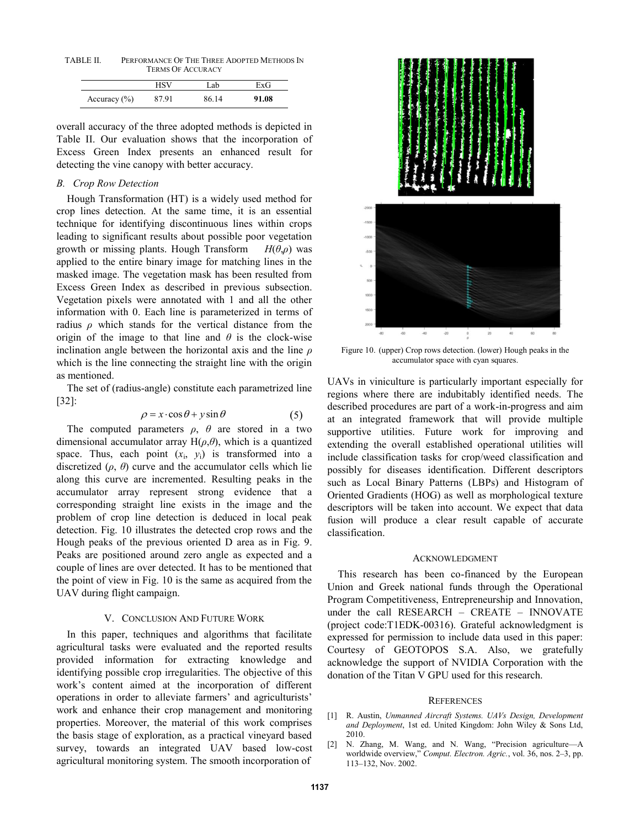TABLE II. PERFORMANCE OF THE THREE ADOPTED METHODS IN TERMS OF ACCURACY

|                  | <b>HSV</b> | Lab   | ExG   |
|------------------|------------|-------|-------|
| Accuracy $(\% )$ | 87.91      | 86 14 | 91.08 |

overall accuracy of the three adopted methods is depicted in Table II. Our evaluation shows that the incorporation of Excess Green Index presents an enhanced result for detecting the vine canopy with better accuracy.

# *B. Crop Row Detection*

Hough Transformation (HT) is a widely used method for crop lines detection. At the same time, it is an essential technique for identifying discontinuous lines within crops leading to significant results about possible poor vegetation growth or missing plants. Hough Transform *H*(*θ*,*ρ*) was applied to the entire binary image for matching lines in the masked image. The vegetation mask has been resulted from Excess Green Index as described in previous subsection. Vegetation pixels were annotated with 1 and all the other information with 0. Each line is parameterized in terms of radius *ρ* which stands for the vertical distance from the origin of the image to that line and  $\theta$  is the clock-wise inclination angle between the horizontal axis and the line *ρ* which is the line connecting the straight line with the origin as mentioned.

The set of (radius-angle) constitute each parametrized line [32]:

$$
\rho = x \cdot \cos \theta + y \sin \theta \tag{5}
$$

The computed parameters  $\rho$ ,  $\theta$  are stored in a two dimensional accumulator array  $H(\rho,\theta)$ , which is a quantized space. Thus, each point  $(x_i, y_i)$  is transformed into a discretized  $(\rho, \theta)$  curve and the accumulator cells which lie along this curve are incremented. Resulting peaks in the accumulator array represent strong evidence that a corresponding straight line exists in the image and the problem of crop line detection is deduced in local peak detection. Fig. 10 illustrates the detected crop rows and the Hough peaks of the previous oriented D area as in Fig. 9. Peaks are positioned around zero angle as expected and a couple of lines are over detected. It has to be mentioned that the point of view in Fig. 10 is the same as acquired from the UAV during flight campaign.

## V. CONCLUSION AND FUTURE WORK

In this paper, techniques and algorithms that facilitate agricultural tasks were evaluated and the reported results provided information for extracting knowledge and identifying possible crop irregularities. The objective of this work's content aimed at the incorporation of different operations in order to alleviate farmers' and agriculturists' work and enhance their crop management and monitoring properties. Moreover, the material of this work comprises the basis stage of exploration, as a practical vineyard based survey, towards an integrated UAV based low-cost agricultural monitoring system. The smooth incorporation of



Figure 10. (upper) Crop rows detection. (lower) Hough peaks in the accumulator space with cyan squares.

UAVs in viniculture is particularly important especially for regions where there are indubitably identified needs. The described procedures are part of a work-in-progress and aim at an integrated framework that will provide multiple supportive utilities. Future work for improving and extending the overall established operational utilities will include classification tasks for crop/weed classification and possibly for diseases identification. Different descriptors such as Local Binary Patterns (LBPs) and Histogram of Oriented Gradients (HOG) as well as morphological texture descriptors will be taken into account. We expect that data fusion will produce a clear result capable of accurate classification.

#### ACKNOWLEDGMENT

This research has been co-financed by the European Union and Greek national funds through the Operational Program Competitiveness, Entrepreneurship and Innovation, under the call RESEARCH – CREATE – INNOVATE (project code:T1EDK-00316). Grateful acknowledgment is expressed for permission to include data used in this paper: Courtesy of GEOTOPOS S.A. Also, we gratefully acknowledge the support of NVIDIA Corporation with the donation of the Titan V GPU used for this research.

#### **REFERENCES**

- [1] R. Austin, *Unmanned Aircraft Systems. UAVs Design, Development and Deployment*, 1st ed. United Kingdom: John Wiley & Sons Ltd, 2010.
- [2] N. Zhang, M. Wang, and N. Wang, "Precision agriculture—A worldwide overview," *Comput. Electron. Agric.*, vol. 36, nos. 2–3, pp. 113–132, Nov. 2002.